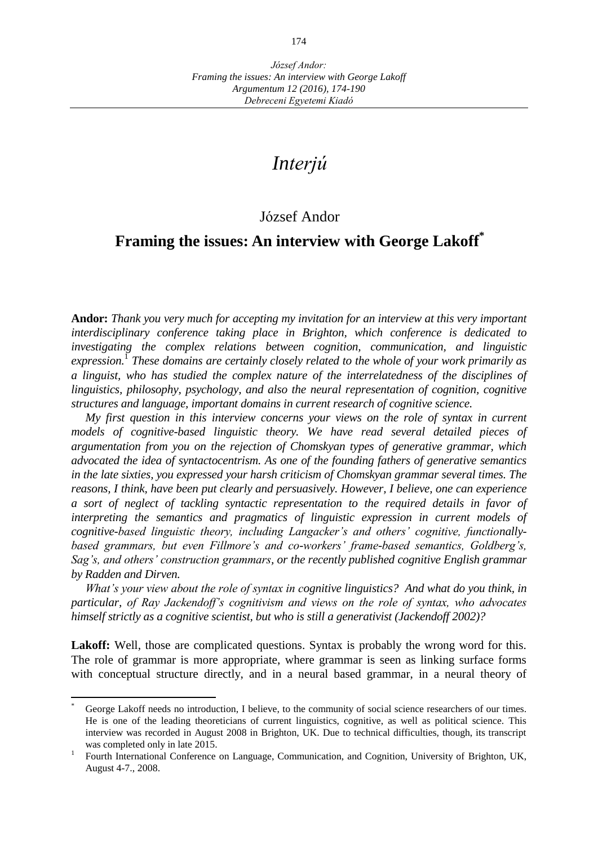# *Interjú*

## József Andor

## **Framing the issues: An interview with George Lakoff\***

**Andor:** *Thank you very much for accepting my invitation for an interview at this very important interdisciplinary conference taking place in Brighton, which conference is dedicated to investigating the complex relations between cognition, communication, and linguistic expression.*<sup>1</sup> *These domains are certainly closely related to the whole of your work primarily as a linguist, who has studied the complex nature of the interrelatedness of the disciplines of linguistics, philosophy, psychology, and also the neural representation of cognition, cognitive structures and language, important domains in current research of cognitive science.*

*My first question in this interview concerns your views on the role of syntax in current models of cognitive-based linguistic theory. We have read several detailed pieces of argumentation from you on the rejection of Chomskyan types of generative grammar, which advocated the idea of syntactocentrism. As one of the founding fathers of generative semantics in the late sixties, you expressed your harsh criticism of Chomskyan grammar several times. The reasons, I think, have been put clearly and persuasively. However, I believe, one can experience a sort of neglect of tackling syntactic representation to the required details in favor of interpreting the semantics and pragmatics of linguistic expression in current models of cognitive-based linguistic theory, including Langacker's and others' cognitive, functionallybased grammars, but even Fillmore's and co-workers' frame-based semantics, Goldberg's, Sag's, and others' construction grammars, or the recently published cognitive English grammar by Radden and Dirven.* 

*What's your view about the role of syntax in cognitive linguistics? And what do you think, in particular, of Ray Jackendoff's cognitivism and views on the role of syntax, who advocates himself strictly as a cognitive scientist, but who is still a generativist (Jackendoff 2002)?*

Lakoff: Well, those are complicated questions. Syntax is probably the wrong word for this. The role of grammar is more appropriate, where grammar is seen as linking surface forms with conceptual structure directly, and in a neural based grammar, in a neural theory of

 $\overline{a}$ 

George Lakoff needs no introduction, I believe, to the community of social science researchers of our times. He is one of the leading theoreticians of current linguistics, cognitive, as well as political science. This interview was recorded in August 2008 in Brighton, UK. Due to technical difficulties, though, its transcript was completed only in late 2015.

<sup>1</sup> Fourth International Conference on Language, Communication, and Cognition, University of Brighton, UK, August 4-7., 2008.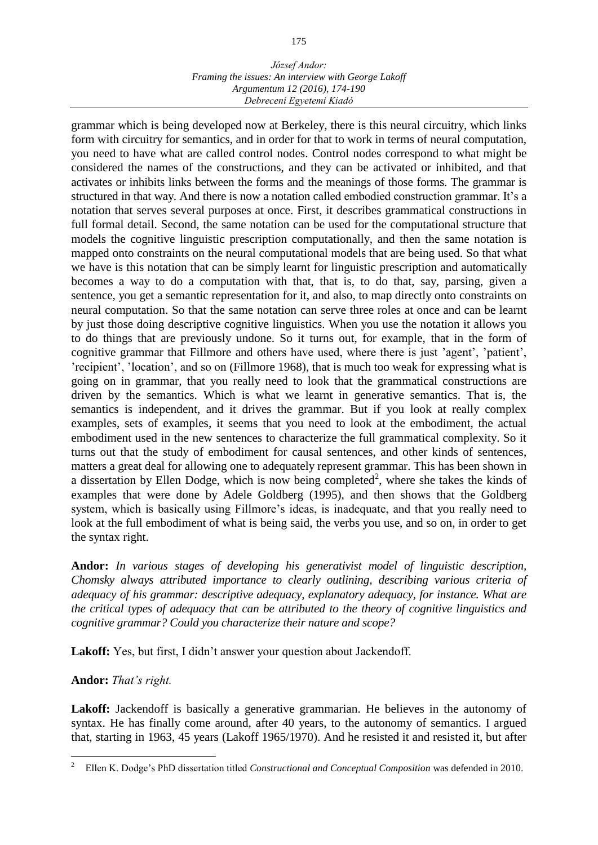grammar which is being developed now at Berkeley, there is this neural circuitry, which links form with circuitry for semantics, and in order for that to work in terms of neural computation, you need to have what are called control nodes. Control nodes correspond to what might be considered the names of the constructions, and they can be activated or inhibited, and that activates or inhibits links between the forms and the meanings of those forms. The grammar is structured in that way. And there is now a notation called embodied construction grammar. It's a notation that serves several purposes at once. First, it describes grammatical constructions in full formal detail. Second, the same notation can be used for the computational structure that models the cognitive linguistic prescription computationally, and then the same notation is mapped onto constraints on the neural computational models that are being used. So that what we have is this notation that can be simply learnt for linguistic prescription and automatically becomes a way to do a computation with that, that is, to do that, say, parsing, given a sentence, you get a semantic representation for it, and also, to map directly onto constraints on neural computation. So that the same notation can serve three roles at once and can be learnt by just those doing descriptive cognitive linguistics. When you use the notation it allows you to do things that are previously undone. So it turns out, for example, that in the form of cognitive grammar that Fillmore and others have used, where there is just 'agent', 'patient', 'recipient', 'location', and so on (Fillmore 1968), that is much too weak for expressing what is going on in grammar, that you really need to look that the grammatical constructions are driven by the semantics. Which is what we learnt in generative semantics. That is, the semantics is independent, and it drives the grammar. But if you look at really complex examples, sets of examples, it seems that you need to look at the embodiment, the actual embodiment used in the new sentences to characterize the full grammatical complexity. So it turns out that the study of embodiment for causal sentences, and other kinds of sentences, matters a great deal for allowing one to adequately represent grammar. This has been shown in a dissertation by Ellen Dodge, which is now being completed<sup>2</sup>, where she takes the kinds of examples that were done by Adele Goldberg (1995), and then shows that the Goldberg system, which is basically using Fillmore's ideas, is inadequate, and that you really need to look at the full embodiment of what is being said, the verbs you use, and so on, in order to get the syntax right.

**Andor:** *In various stages of developing his generativist model of linguistic description, Chomsky always attributed importance to clearly outlining, describing various criteria of adequacy of his grammar: descriptive adequacy, explanatory adequacy, for instance. What are the critical types of adequacy that can be attributed to the theory of cognitive linguistics and cognitive grammar? Could you characterize their nature and scope?*

Lakoff: Yes, but first, I didn't answer your question about Jackendoff.

## **Andor:** *That's right.*

 $\overline{a}$ 

Lakoff: Jackendoff is basically a generative grammarian. He believes in the autonomy of syntax. He has finally come around, after 40 years, to the autonomy of semantics. I argued that, starting in 1963, 45 years (Lakoff 1965/1970). And he resisted it and resisted it, but after

<sup>2</sup> Ellen K. Dodge's PhD dissertation titled *Constructional and Conceptual Composition* was defended in 2010.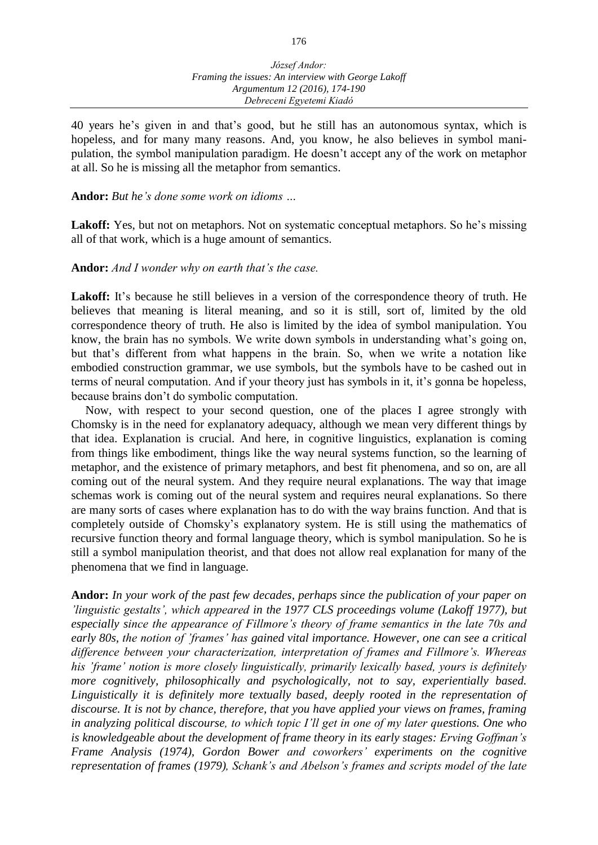40 years he's given in and that's good, but he still has an autonomous syntax, which is hopeless, and for many many reasons. And, you know, he also believes in symbol manipulation, the symbol manipulation paradigm. He doesn't accept any of the work on metaphor at all. So he is missing all the metaphor from semantics.

#### **Andor:** *But he's done some work on idioms …*

Lakoff: Yes, but not on metaphors. Not on systematic conceptual metaphors. So he's missing all of that work, which is a huge amount of semantics.

## **Andor:** *And I wonder why on earth that's the case.*

Lakoff: It's because he still believes in a version of the correspondence theory of truth. He believes that meaning is literal meaning, and so it is still, sort of, limited by the old correspondence theory of truth. He also is limited by the idea of symbol manipulation. You know, the brain has no symbols. We write down symbols in understanding what's going on, but that's different from what happens in the brain. So, when we write a notation like embodied construction grammar, we use symbols, but the symbols have to be cashed out in terms of neural computation. And if your theory just has symbols in it, it's gonna be hopeless, because brains don't do symbolic computation.

Now, with respect to your second question, one of the places I agree strongly with Chomsky is in the need for explanatory adequacy, although we mean very different things by that idea. Explanation is crucial. And here, in cognitive linguistics, explanation is coming from things like embodiment, things like the way neural systems function, so the learning of metaphor, and the existence of primary metaphors, and best fit phenomena, and so on, are all coming out of the neural system. And they require neural explanations. The way that image schemas work is coming out of the neural system and requires neural explanations. So there are many sorts of cases where explanation has to do with the way brains function. And that is completely outside of Chomsky's explanatory system. He is still using the mathematics of recursive function theory and formal language theory, which is symbol manipulation. So he is still a symbol manipulation theorist, and that does not allow real explanation for many of the phenomena that we find in language.

**Andor:** *In your work of the past few decades, perhaps since the publication of your paper on 'linguistic gestalts', which appeared in the 1977 CLS proceedings volume (Lakoff 1977), but especially since the appearance of Fillmore's theory of frame semantics in the late 70s and early 80s, the notion of 'frames' has gained vital importance. However, one can see a critical difference between your characterization, interpretation of frames and Fillmore's. Whereas his 'frame' notion is more closely linguistically, primarily lexically based, yours is definitely more cognitively, philosophically and psychologically, not to say, experientially based. Linguistically it is definitely more textually based, deeply rooted in the representation of discourse. It is not by chance, therefore, that you have applied your views on frames, framing in analyzing political discourse, to which topic I'll get in one of my later questions. One who is knowledgeable about the development of frame theory in its early stages: Erving Goffman's Frame Analysis (1974), Gordon Bower and coworkers' experiments on the cognitive representation of frames (1979), Schank's and Abelson's frames and scripts model of the late*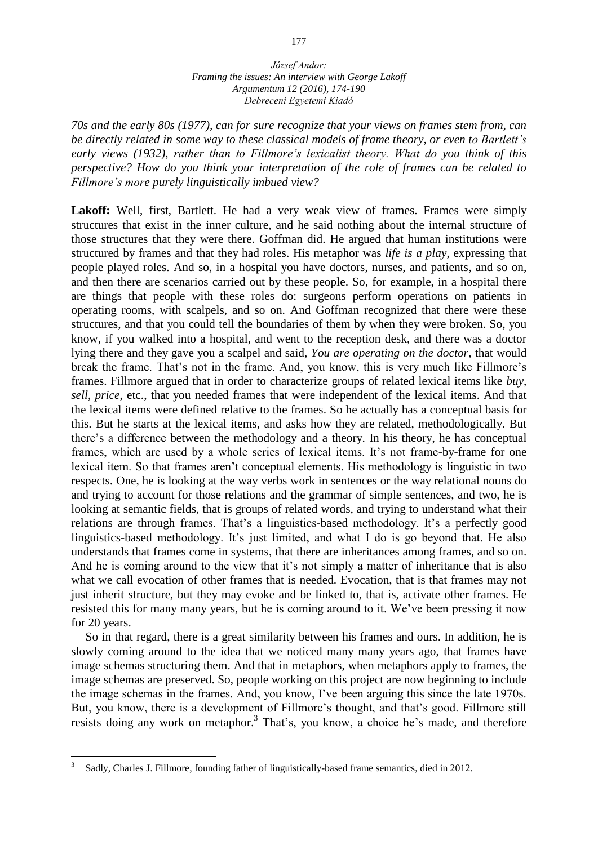*70s and the early 80s (1977), can for sure recognize that your views on frames stem from, can be directly related in some way to these classical models of frame theory, or even to Bartlett's early views (1932), rather than to Fillmore's lexicalist theory. What do you think of this perspective? How do you think your interpretation of the role of frames can be related to Fillmore's more purely linguistically imbued view?* 

Lakoff: Well, first, Bartlett. He had a very weak view of frames. Frames were simply structures that exist in the inner culture, and he said nothing about the internal structure of those structures that they were there. Goffman did. He argued that human institutions were structured by frames and that they had roles. His metaphor was *life is a play*, expressing that people played roles. And so, in a hospital you have doctors, nurses, and patients, and so on, and then there are scenarios carried out by these people. So, for example, in a hospital there are things that people with these roles do: surgeons perform operations on patients in operating rooms, with scalpels, and so on. And Goffman recognized that there were these structures, and that you could tell the boundaries of them by when they were broken. So, you know, if you walked into a hospital, and went to the reception desk, and there was a doctor lying there and they gave you a scalpel and said, *You are operating on the doctor*, that would break the frame. That's not in the frame. And, you know, this is very much like Fillmore's frames. Fillmore argued that in order to characterize groups of related lexical items like *buy*, *sell*, *price*, etc., that you needed frames that were independent of the lexical items. And that the lexical items were defined relative to the frames. So he actually has a conceptual basis for this. But he starts at the lexical items, and asks how they are related, methodologically. But there's a difference between the methodology and a theory. In his theory, he has conceptual frames, which are used by a whole series of lexical items. It's not frame-by-frame for one lexical item. So that frames aren't conceptual elements. His methodology is linguistic in two respects. One, he is looking at the way verbs work in sentences or the way relational nouns do and trying to account for those relations and the grammar of simple sentences, and two, he is looking at semantic fields, that is groups of related words, and trying to understand what their relations are through frames. That's a linguistics-based methodology. It's a perfectly good linguistics-based methodology. It's just limited, and what I do is go beyond that. He also understands that frames come in systems, that there are inheritances among frames, and so on. And he is coming around to the view that it's not simply a matter of inheritance that is also what we call evocation of other frames that is needed. Evocation, that is that frames may not just inherit structure, but they may evoke and be linked to, that is, activate other frames. He resisted this for many many years, but he is coming around to it. We've been pressing it now for 20 years.

So in that regard, there is a great similarity between his frames and ours. In addition, he is slowly coming around to the idea that we noticed many many years ago, that frames have image schemas structuring them. And that in metaphors, when metaphors apply to frames, the image schemas are preserved. So, people working on this project are now beginning to include the image schemas in the frames. And, you know, I've been arguing this since the late 1970s. But, you know, there is a development of Fillmore's thought, and that's good. Fillmore still resists doing any work on metaphor.<sup>3</sup> That's, you know, a choice he's made, and therefore

 $\overline{a}$ 

<sup>3</sup> Sadly, Charles J. Fillmore, founding father of linguistically-based frame semantics, died in 2012.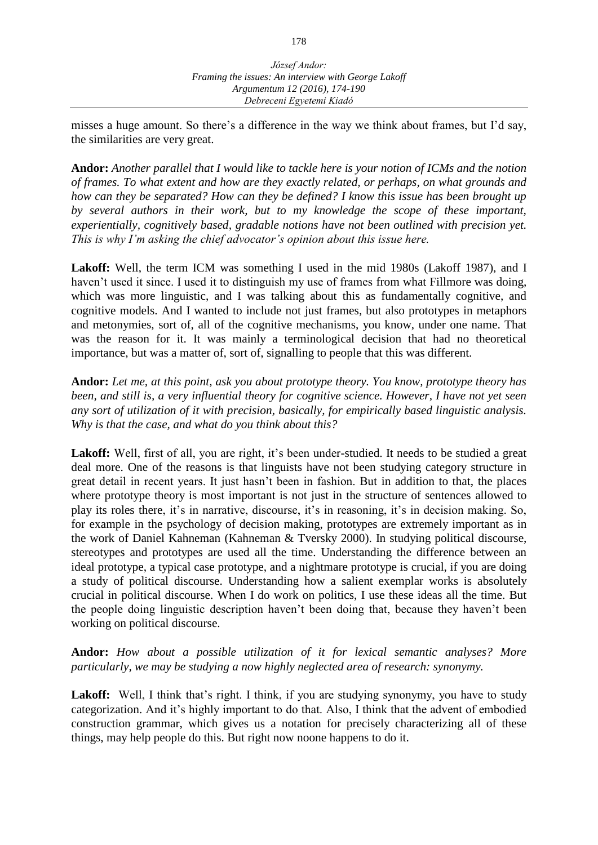misses a huge amount. So there's a difference in the way we think about frames, but I'd say, the similarities are very great.

**Andor:** *Another parallel that I would like to tackle here is your notion of ICMs and the notion of frames. To what extent and how are they exactly related, or perhaps, on what grounds and how can they be separated? How can they be defined? I know this issue has been brought up by several authors in their work, but to my knowledge the scope of these important, experientially, cognitively based, gradable notions have not been outlined with precision yet. This is why I'm asking the chief advocator's opinion about this issue here.*

**Lakoff:** Well, the term ICM was something I used in the mid 1980s (Lakoff 1987), and I haven't used it since. I used it to distinguish my use of frames from what Fillmore was doing, which was more linguistic, and I was talking about this as fundamentally cognitive, and cognitive models. And I wanted to include not just frames, but also prototypes in metaphors and metonymies, sort of, all of the cognitive mechanisms, you know, under one name. That was the reason for it. It was mainly a terminological decision that had no theoretical importance, but was a matter of, sort of, signalling to people that this was different.

**Andor:** *Let me, at this point, ask you about prototype theory. You know, prototype theory has been, and still is, a very influential theory for cognitive science. However, I have not yet seen any sort of utilization of it with precision, basically, for empirically based linguistic analysis. Why is that the case, and what do you think about this?*

Lakoff: Well, first of all, you are right, it's been under-studied. It needs to be studied a great deal more. One of the reasons is that linguists have not been studying category structure in great detail in recent years. It just hasn't been in fashion. But in addition to that, the places where prototype theory is most important is not just in the structure of sentences allowed to play its roles there, it's in narrative, discourse, it's in reasoning, it's in decision making. So, for example in the psychology of decision making, prototypes are extremely important as in the work of Daniel Kahneman (Kahneman & Tversky 2000). In studying political discourse, stereotypes and prototypes are used all the time. Understanding the difference between an ideal prototype, a typical case prototype, and a nightmare prototype is crucial, if you are doing a study of political discourse. Understanding how a salient exemplar works is absolutely crucial in political discourse. When I do work on politics, I use these ideas all the time. But the people doing linguistic description haven't been doing that, because they haven't been working on political discourse.

**Andor:** *How about a possible utilization of it for lexical semantic analyses? More particularly, we may be studying a now highly neglected area of research: synonymy.* 

Lakoff: Well, I think that's right. I think, if you are studying synonymy, you have to study categorization. And it's highly important to do that. Also, I think that the advent of embodied construction grammar, which gives us a notation for precisely characterizing all of these things, may help people do this. But right now noone happens to do it.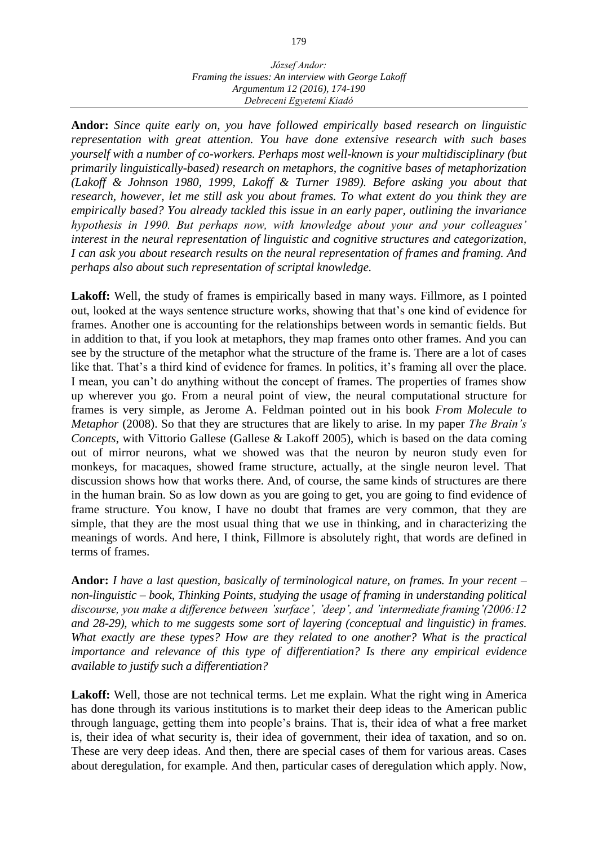**Andor:** *Since quite early on, you have followed empirically based research on linguistic representation with great attention. You have done extensive research with such bases yourself with a number of co-workers. Perhaps most well-known is your multidisciplinary (but primarily linguistically-based) research on metaphors, the cognitive bases of metaphorization (Lakoff & Johnson 1980, 1999, Lakoff & Turner 1989). Before asking you about that research, however, let me still ask you about frames. To what extent do you think they are empirically based? You already tackled this issue in an early paper, outlining the invariance hypothesis in 1990. But perhaps now, with knowledge about your and your colleagues' interest in the neural representation of linguistic and cognitive structures and categorization, I can ask you about research results on the neural representation of frames and framing. And perhaps also about such representation of scriptal knowledge.* 

**Lakoff:** Well, the study of frames is empirically based in many ways. Fillmore, as I pointed out, looked at the ways sentence structure works, showing that that's one kind of evidence for frames. Another one is accounting for the relationships between words in semantic fields. But in addition to that, if you look at metaphors, they map frames onto other frames. And you can see by the structure of the metaphor what the structure of the frame is. There are a lot of cases like that. That's a third kind of evidence for frames. In politics, it's framing all over the place. I mean, you can't do anything without the concept of frames. The properties of frames show up wherever you go. From a neural point of view, the neural computational structure for frames is very simple, as Jerome A. Feldman pointed out in his book *From Molecule to Metaphor* (2008). So that they are structures that are likely to arise. In my paper *The Brain's Concepts*, with Vittorio Gallese (Gallese & Lakoff 2005), which is based on the data coming out of mirror neurons, what we showed was that the neuron by neuron study even for monkeys, for macaques, showed frame structure, actually, at the single neuron level. That discussion shows how that works there. And, of course, the same kinds of structures are there in the human brain. So as low down as you are going to get, you are going to find evidence of frame structure. You know, I have no doubt that frames are very common, that they are simple, that they are the most usual thing that we use in thinking, and in characterizing the meanings of words. And here, I think, Fillmore is absolutely right, that words are defined in terms of frames.

**Andor:** *I have a last question, basically of terminological nature, on frames. In your recent – non-linguistic – book, Thinking Points, studying the usage of framing in understanding political discourse, you make a difference between 'surface', 'deep', and 'intermediate framing'(2006:12 and 28-29), which to me suggests some sort of layering (conceptual and linguistic) in frames. What exactly are these types? How are they related to one another? What is the practical importance and relevance of this type of differentiation? Is there any empirical evidence available to justify such a differentiation?*

Lakoff: Well, those are not technical terms. Let me explain. What the right wing in America has done through its various institutions is to market their deep ideas to the American public through language, getting them into people's brains. That is, their idea of what a free market is, their idea of what security is, their idea of government, their idea of taxation, and so on. These are very deep ideas. And then, there are special cases of them for various areas. Cases about deregulation, for example. And then, particular cases of deregulation which apply. Now,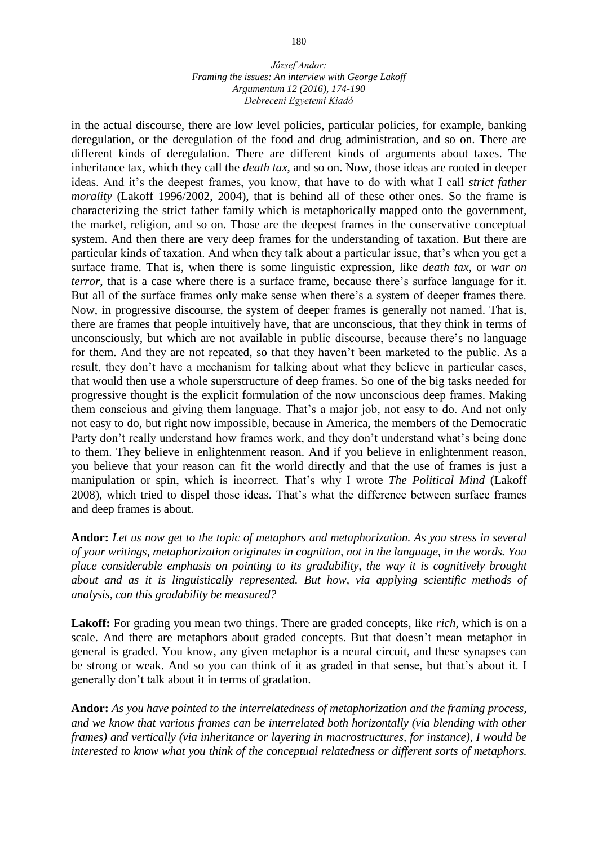in the actual discourse, there are low level policies, particular policies, for example, banking deregulation, or the deregulation of the food and drug administration, and so on. There are different kinds of deregulation. There are different kinds of arguments about taxes. The inheritance tax, which they call the *death tax*, and so on. Now, those ideas are rooted in deeper ideas. And it's the deepest frames, you know, that have to do with what I call *strict father morality* (Lakoff 1996/2002, 2004), that is behind all of these other ones. So the frame is characterizing the strict father family which is metaphorically mapped onto the government, the market, religion, and so on. Those are the deepest frames in the conservative conceptual system. And then there are very deep frames for the understanding of taxation. But there are particular kinds of taxation. And when they talk about a particular issue, that's when you get a surface frame. That is, when there is some linguistic expression, like *death tax*, or *war on terror*, that is a case where there is a surface frame, because there's surface language for it. But all of the surface frames only make sense when there's a system of deeper frames there. Now, in progressive discourse, the system of deeper frames is generally not named. That is, there are frames that people intuitively have, that are unconscious, that they think in terms of unconsciously, but which are not available in public discourse, because there's no language for them. And they are not repeated, so that they haven't been marketed to the public. As a result, they don't have a mechanism for talking about what they believe in particular cases, that would then use a whole superstructure of deep frames. So one of the big tasks needed for progressive thought is the explicit formulation of the now unconscious deep frames. Making them conscious and giving them language. That's a major job, not easy to do. And not only not easy to do, but right now impossible, because in America, the members of the Democratic Party don't really understand how frames work, and they don't understand what's being done to them. They believe in enlightenment reason. And if you believe in enlightenment reason, you believe that your reason can fit the world directly and that the use of frames is just a manipulation or spin, which is incorrect. That's why I wrote *The Political Mind* (Lakoff 2008), which tried to dispel those ideas. That's what the difference between surface frames and deep frames is about.

**Andor:** *Let us now get to the topic of metaphors and metaphorization. As you stress in several of your writings, metaphorization originates in cognition, not in the language, in the words. You place considerable emphasis on pointing to its gradability, the way it is cognitively brought about and as it is linguistically represented. But how, via applying scientific methods of analysis, can this gradability be measured?*

Lakoff: For grading you mean two things. There are graded concepts, like *rich*, which is on a scale. And there are metaphors about graded concepts. But that doesn't mean metaphor in general is graded. You know, any given metaphor is a neural circuit, and these synapses can be strong or weak. And so you can think of it as graded in that sense, but that's about it. I generally don't talk about it in terms of gradation.

**Andor:** *As you have pointed to the interrelatedness of metaphorization and the framing process, and we know that various frames can be interrelated both horizontally (via blending with other frames) and vertically (via inheritance or layering in macrostructures, for instance), I would be interested to know what you think of the conceptual relatedness or different sorts of metaphors.*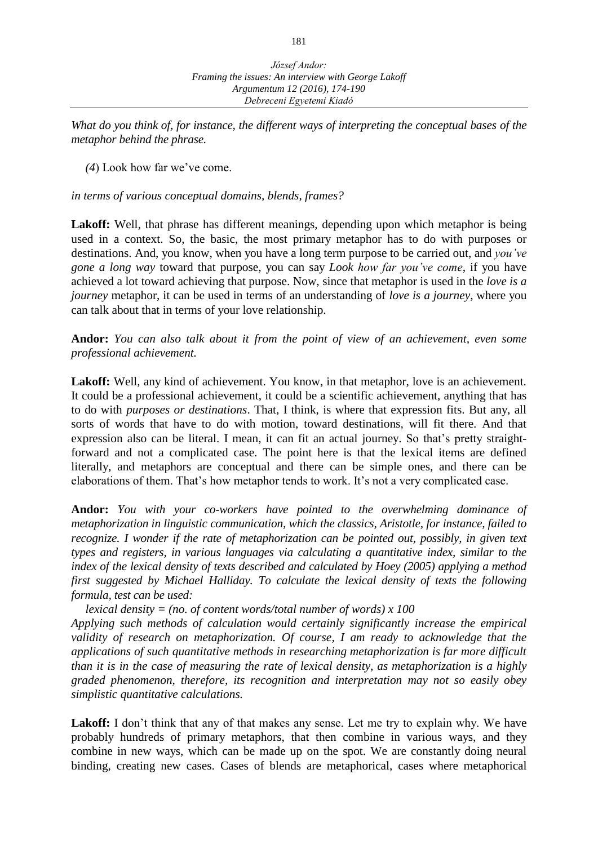*What do you think of, for instance, the different ways of interpreting the conceptual bases of the metaphor behind the phrase.* 

*(4*) Look how far we've come.

*in terms of various conceptual domains, blends, frames?*

Lakoff: Well, that phrase has different meanings, depending upon which metaphor is being used in a context. So, the basic, the most primary metaphor has to do with purposes or destinations. And, you know, when you have a long term purpose to be carried out, and *you've gone a long way* toward that purpose, you can say *Look how far you've come*, if you have achieved a lot toward achieving that purpose. Now, since that metaphor is used in the *love is a journey* metaphor, it can be used in terms of an understanding of *love is a journey*, where you can talk about that in terms of your love relationship.

**Andor:** *You can also talk about it from the point of view of an achievement, even some professional achievement.* 

Lakoff: Well, any kind of achievement. You know, in that metaphor, love is an achievement. It could be a professional achievement, it could be a scientific achievement, anything that has to do with *purposes or destinations*. That, I think, is where that expression fits. But any, all sorts of words that have to do with motion, toward destinations, will fit there. And that expression also can be literal. I mean, it can fit an actual journey. So that's pretty straightforward and not a complicated case. The point here is that the lexical items are defined literally, and metaphors are conceptual and there can be simple ones, and there can be elaborations of them. That's how metaphor tends to work. It's not a very complicated case.

**Andor:** *You with your co-workers have pointed to the overwhelming dominance of metaphorization in linguistic communication, which the classics, Aristotle, for instance, failed to recognize. I wonder if the rate of metaphorization can be pointed out, possibly, in given text types and registers, in various languages via calculating a quantitative index, similar to the index of the lexical density of texts described and calculated by Hoey (2005) applying a method first suggested by Michael Halliday. To calculate the lexical density of texts the following formula, test can be used:* 

*lexical density = (no. of content words/total number of words) x 100 Applying such methods of calculation would certainly significantly increase the empirical validity of research on metaphorization. Of course, I am ready to acknowledge that the applications of such quantitative methods in researching metaphorization is far more difficult than it is in the case of measuring the rate of lexical density, as metaphorization is a highly graded phenomenon, therefore, its recognition and interpretation may not so easily obey simplistic quantitative calculations.*

Lakoff: I don't think that any of that makes any sense. Let me try to explain why. We have probably hundreds of primary metaphors, that then combine in various ways, and they combine in new ways, which can be made up on the spot. We are constantly doing neural binding, creating new cases. Cases of blends are metaphorical, cases where metaphorical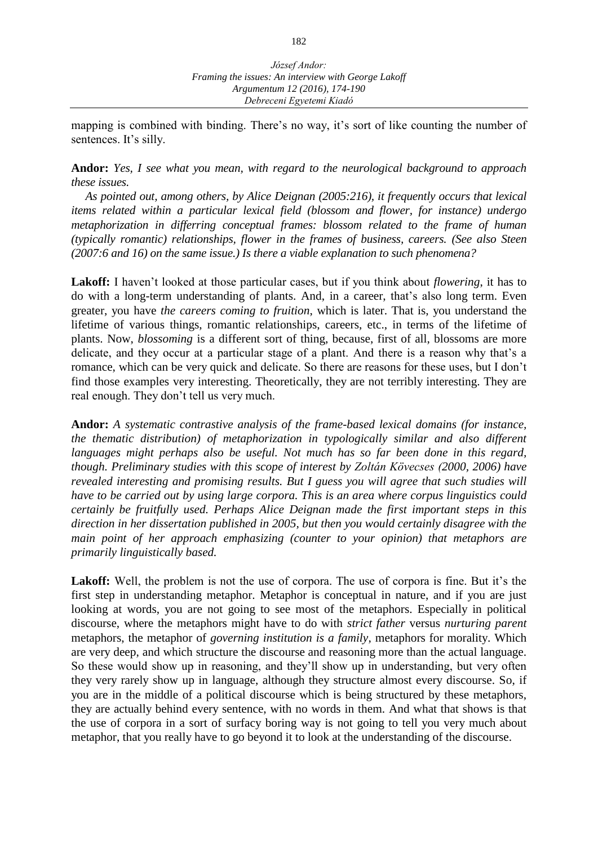mapping is combined with binding. There's no way, it's sort of like counting the number of sentences. It's silly.

**Andor:** *Yes, I see what you mean, with regard to the neurological background to approach these issues.* 

*As pointed out, among others, by Alice Deignan (2005:216), it frequently occurs that lexical items related within a particular lexical field (blossom and flower, for instance) undergo metaphorization in differring conceptual frames: blossom related to the frame of human (typically romantic) relationships, flower in the frames of business, careers. (See also Steen (2007:6 and 16) on the same issue.) Is there a viable explanation to such phenomena?*

**Lakoff:** I haven't looked at those particular cases, but if you think about *flowering*, it has to do with a long-term understanding of plants. And, in a career, that's also long term. Even greater, you have *the careers coming to fruition*, which is later. That is, you understand the lifetime of various things, romantic relationships, careers, etc., in terms of the lifetime of plants. Now, *blossoming* is a different sort of thing, because, first of all, blossoms are more delicate, and they occur at a particular stage of a plant. And there is a reason why that's a romance, which can be very quick and delicate. So there are reasons for these uses, but I don't find those examples very interesting. Theoretically, they are not terribly interesting. They are real enough. They don't tell us very much.

**Andor:** *A systematic contrastive analysis of the frame-based lexical domains (for instance, the thematic distribution) of metaphorization in typologically similar and also different languages might perhaps also be useful. Not much has so far been done in this regard, though. Preliminary studies with this scope of interest by Zoltán Kövecses (2000, 2006) have revealed interesting and promising results. But I guess you will agree that such studies will have to be carried out by using large corpora. This is an area where corpus linguistics could certainly be fruitfully used. Perhaps Alice Deignan made the first important steps in this direction in her dissertation published in 2005, but then you would certainly disagree with the main point of her approach emphasizing (counter to your opinion) that metaphors are primarily linguistically based.* 

Lakoff: Well, the problem is not the use of corpora. The use of corpora is fine. But it's the first step in understanding metaphor. Metaphor is conceptual in nature, and if you are just looking at words, you are not going to see most of the metaphors. Especially in political discourse, where the metaphors might have to do with *strict father* versus *nurturing parent*  metaphors, the metaphor of *governing institution is a family*, metaphors for morality. Which are very deep, and which structure the discourse and reasoning more than the actual language. So these would show up in reasoning, and they'll show up in understanding, but very often they very rarely show up in language, although they structure almost every discourse. So, if you are in the middle of a political discourse which is being structured by these metaphors, they are actually behind every sentence, with no words in them. And what that shows is that the use of corpora in a sort of surfacy boring way is not going to tell you very much about metaphor, that you really have to go beyond it to look at the understanding of the discourse.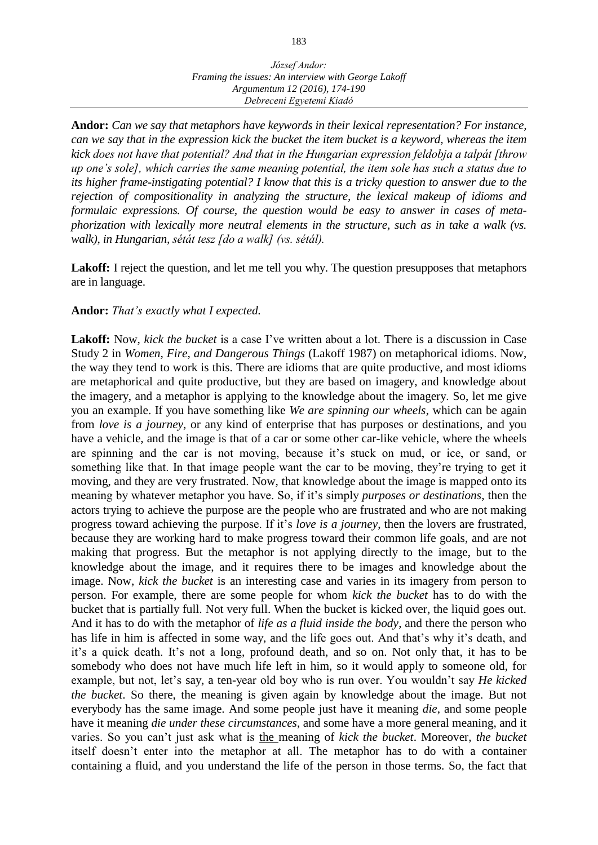**Andor:** *Can we say that metaphors have keywords in their lexical representation? For instance, can we say that in the expression kick the bucket the item bucket is a keyword, whereas the item kick does not have that potential? And that in the Hungarian expression feldobja a talpát [throw up one's sole], which carries the same meaning potential, the item sole has such a status due to its higher frame-instigating potential? I know that this is a tricky question to answer due to the rejection of compositionality in analyzing the structure, the lexical makeup of idioms and formulaic expressions. Of course, the question would be easy to answer in cases of metaphorization with lexically more neutral elements in the structure, such as in take a walk (vs. walk), in Hungarian, sétát tesz [do a walk] (vs. sétál).*

Lakoff: I reject the question, and let me tell you why. The question presupposes that metaphors are in language.

## **Andor:** *That's exactly what I expected.*

**Lakoff:** Now, *kick the bucket* is a case I've written about a lot. There is a discussion in Case Study 2 in *Women, Fire, and Dangerous Things* (Lakoff 1987) on metaphorical idioms. Now, the way they tend to work is this. There are idioms that are quite productive, and most idioms are metaphorical and quite productive, but they are based on imagery, and knowledge about the imagery, and a metaphor is applying to the knowledge about the imagery. So, let me give you an example. If you have something like *We are spinning our wheels*, which can be again from *love is a journey*, or any kind of enterprise that has purposes or destinations, and you have a vehicle, and the image is that of a car or some other car-like vehicle, where the wheels are spinning and the car is not moving, because it's stuck on mud, or ice, or sand, or something like that. In that image people want the car to be moving, they're trying to get it moving, and they are very frustrated. Now, that knowledge about the image is mapped onto its meaning by whatever metaphor you have. So, if it's simply *purposes or destinations*, then the actors trying to achieve the purpose are the people who are frustrated and who are not making progress toward achieving the purpose. If it's *love is a journey*, then the lovers are frustrated, because they are working hard to make progress toward their common life goals, and are not making that progress. But the metaphor is not applying directly to the image, but to the knowledge about the image, and it requires there to be images and knowledge about the image. Now, *kick the bucket* is an interesting case and varies in its imagery from person to person. For example, there are some people for whom *kick the bucket* has to do with the bucket that is partially full. Not very full. When the bucket is kicked over, the liquid goes out. And it has to do with the metaphor of *life as a fluid inside the body*, and there the person who has life in him is affected in some way, and the life goes out. And that's why it's death, and it's a quick death. It's not a long, profound death, and so on. Not only that, it has to be somebody who does not have much life left in him, so it would apply to someone old, for example, but not, let's say, a ten-year old boy who is run over. You wouldn't say *He kicked the bucket*. So there, the meaning is given again by knowledge about the image. But not everybody has the same image. And some people just have it meaning *die*, and some people have it meaning *die under these circumstances*, and some have a more general meaning, and it varies. So you can't just ask what is the meaning of *kick the bucket*. Moreover, *the bucket*  itself doesn't enter into the metaphor at all. The metaphor has to do with a container containing a fluid, and you understand the life of the person in those terms. So, the fact that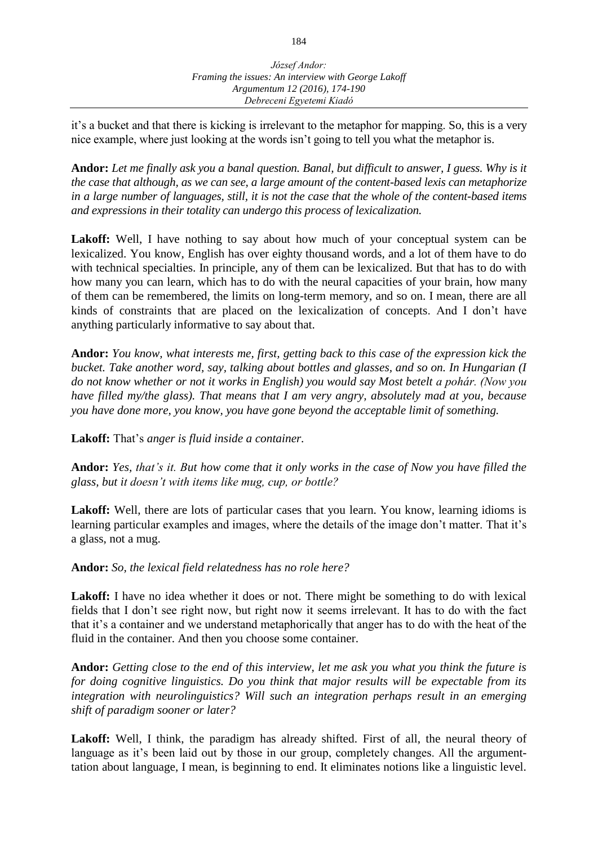it's a bucket and that there is kicking is irrelevant to the metaphor for mapping. So, this is a very nice example, where just looking at the words isn't going to tell you what the metaphor is.

**Andor:** *Let me finally ask you a banal question. Banal, but difficult to answer, I guess. Why is it the case that although, as we can see, a large amount of the content-based lexis can metaphorize in a large number of languages, still, it is not the case that the whole of the content-based items and expressions in their totality can undergo this process of lexicalization.* 

Lakoff: Well, I have nothing to say about how much of your conceptual system can be lexicalized. You know, English has over eighty thousand words, and a lot of them have to do with technical specialties. In principle, any of them can be lexicalized. But that has to do with how many you can learn, which has to do with the neural capacities of your brain, how many of them can be remembered, the limits on long-term memory, and so on. I mean, there are all kinds of constraints that are placed on the lexicalization of concepts. And I don't have anything particularly informative to say about that.

**Andor:** *You know, what interests me, first, getting back to this case of the expression kick the bucket. Take another word, say, talking about bottles and glasses, and so on. In Hungarian (I do not know whether or not it works in English) you would say Most betelt a pohár. (Now you have filled my/the glass). That means that I am very angry, absolutely mad at you, because you have done more, you know, you have gone beyond the acceptable limit of something.*

**Lakoff:** That's *anger is fluid inside a container.*

**Andor:** *Yes, that's it. But how come that it only works in the case of Now you have filled the glass, but it doesn't with items like mug, cup, or bottle?*

Lakoff: Well, there are lots of particular cases that you learn. You know, learning idioms is learning particular examples and images, where the details of the image don't matter. That it's a glass, not a mug.

## **Andor:** *So, the lexical field relatedness has no role here?*

Lakoff: I have no idea whether it does or not. There might be something to do with lexical fields that I don't see right now, but right now it seems irrelevant. It has to do with the fact that it's a container and we understand metaphorically that anger has to do with the heat of the fluid in the container. And then you choose some container.

**Andor:** *Getting close to the end of this interview, let me ask you what you think the future is for doing cognitive linguistics. Do you think that major results will be expectable from its integration with neurolinguistics? Will such an integration perhaps result in an emerging shift of paradigm sooner or later?*

Lakoff: Well, I think, the paradigm has already shifted. First of all, the neural theory of language as it's been laid out by those in our group, completely changes. All the argumenttation about language, I mean, is beginning to end. It eliminates notions like a linguistic level.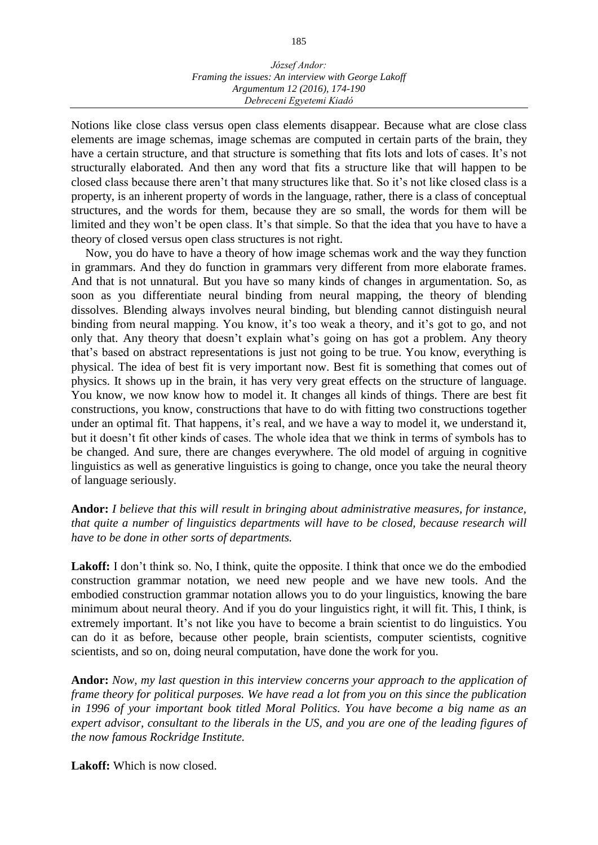Notions like close class versus open class elements disappear. Because what are close class elements are image schemas, image schemas are computed in certain parts of the brain, they have a certain structure, and that structure is something that fits lots and lots of cases. It's not structurally elaborated. And then any word that fits a structure like that will happen to be closed class because there aren't that many structures like that. So it's not like closed class is a property, is an inherent property of words in the language, rather, there is a class of conceptual structures, and the words for them, because they are so small, the words for them will be limited and they won't be open class. It's that simple. So that the idea that you have to have a theory of closed versus open class structures is not right.

Now, you do have to have a theory of how image schemas work and the way they function in grammars. And they do function in grammars very different from more elaborate frames. And that is not unnatural. But you have so many kinds of changes in argumentation. So, as soon as you differentiate neural binding from neural mapping, the theory of blending dissolves. Blending always involves neural binding, but blending cannot distinguish neural binding from neural mapping. You know, it's too weak a theory, and it's got to go, and not only that. Any theory that doesn't explain what's going on has got a problem. Any theory that's based on abstract representations is just not going to be true. You know, everything is physical. The idea of best fit is very important now. Best fit is something that comes out of physics. It shows up in the brain, it has very very great effects on the structure of language. You know, we now know how to model it. It changes all kinds of things. There are best fit constructions, you know, constructions that have to do with fitting two constructions together under an optimal fit. That happens, it's real, and we have a way to model it, we understand it, but it doesn't fit other kinds of cases. The whole idea that we think in terms of symbols has to be changed. And sure, there are changes everywhere. The old model of arguing in cognitive linguistics as well as generative linguistics is going to change, once you take the neural theory of language seriously.

**Andor:** *I believe that this will result in bringing about administrative measures, for instance, that quite a number of linguistics departments will have to be closed, because research will have to be done in other sorts of departments.*

Lakoff: I don't think so. No, I think, quite the opposite. I think that once we do the embodied construction grammar notation, we need new people and we have new tools. And the embodied construction grammar notation allows you to do your linguistics, knowing the bare minimum about neural theory. And if you do your linguistics right, it will fit. This, I think, is extremely important. It's not like you have to become a brain scientist to do linguistics. You can do it as before, because other people, brain scientists, computer scientists, cognitive scientists, and so on, doing neural computation, have done the work for you.

**Andor:** *Now, my last question in this interview concerns your approach to the application of frame theory for political purposes. We have read a lot from you on this since the publication in 1996 of your important book titled Moral Politics. You have become a big name as an expert advisor, consultant to the liberals in the US, and you are one of the leading figures of the now famous Rockridge Institute.*

**Lakoff:** Which is now closed.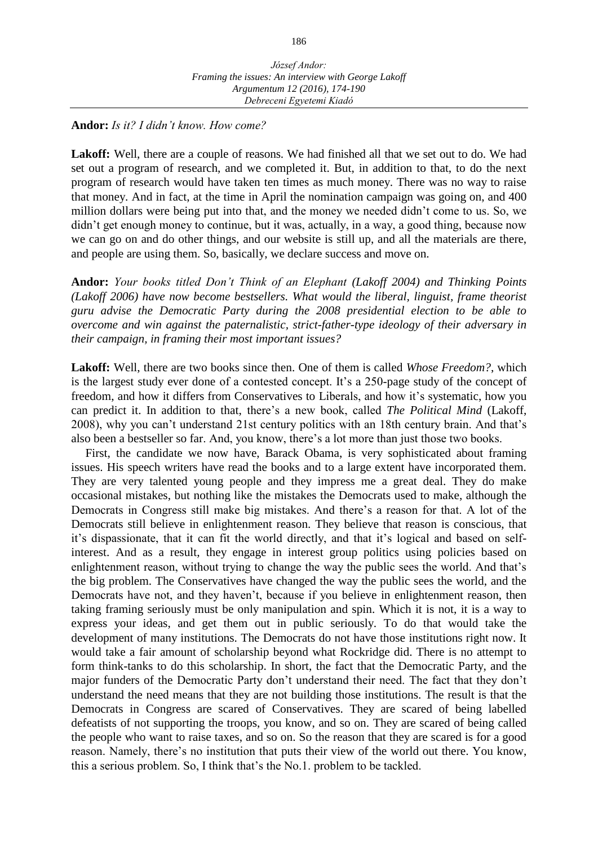## **Andor:** *Is it? I didn't know. How come?*

**Lakoff:** Well, there are a couple of reasons. We had finished all that we set out to do. We had set out a program of research, and we completed it. But, in addition to that, to do the next program of research would have taken ten times as much money. There was no way to raise that money. And in fact, at the time in April the nomination campaign was going on, and 400 million dollars were being put into that, and the money we needed didn't come to us. So, we didn't get enough money to continue, but it was, actually, in a way, a good thing, because now we can go on and do other things, and our website is still up, and all the materials are there, and people are using them. So, basically, we declare success and move on.

**Andor:** *Your books titled Don't Think of an Elephant (Lakoff 2004) and Thinking Points (Lakoff 2006) have now become bestsellers. What would the liberal, linguist, frame theorist guru advise the Democratic Party during the 2008 presidential election to be able to overcome and win against the paternalistic, strict-father-type ideology of their adversary in their campaign, in framing their most important issues?* 

**Lakoff:** Well, there are two books since then. One of them is called *Whose Freedom?*, which is the largest study ever done of a contested concept. It's a 250-page study of the concept of freedom, and how it differs from Conservatives to Liberals, and how it's systematic, how you can predict it. In addition to that, there's a new book, called *The Political Mind* (Lakoff, 2008), why you can't understand 21st century politics with an 18th century brain. And that's also been a bestseller so far. And, you know, there's a lot more than just those two books.

First, the candidate we now have, Barack Obama, is very sophisticated about framing issues. His speech writers have read the books and to a large extent have incorporated them. They are very talented young people and they impress me a great deal. They do make occasional mistakes, but nothing like the mistakes the Democrats used to make, although the Democrats in Congress still make big mistakes. And there's a reason for that. A lot of the Democrats still believe in enlightenment reason. They believe that reason is conscious, that it's dispassionate, that it can fit the world directly, and that it's logical and based on selfinterest. And as a result, they engage in interest group politics using policies based on enlightenment reason, without trying to change the way the public sees the world. And that's the big problem. The Conservatives have changed the way the public sees the world, and the Democrats have not, and they haven't, because if you believe in enlightenment reason, then taking framing seriously must be only manipulation and spin. Which it is not, it is a way to express your ideas, and get them out in public seriously. To do that would take the development of many institutions. The Democrats do not have those institutions right now. It would take a fair amount of scholarship beyond what Rockridge did. There is no attempt to form think-tanks to do this scholarship. In short, the fact that the Democratic Party, and the major funders of the Democratic Party don't understand their need. The fact that they don't understand the need means that they are not building those institutions. The result is that the Democrats in Congress are scared of Conservatives. They are scared of being labelled defeatists of not supporting the troops, you know, and so on. They are scared of being called the people who want to raise taxes, and so on. So the reason that they are scared is for a good reason. Namely, there's no institution that puts their view of the world out there. You know, this a serious problem. So, I think that's the No.1. problem to be tackled.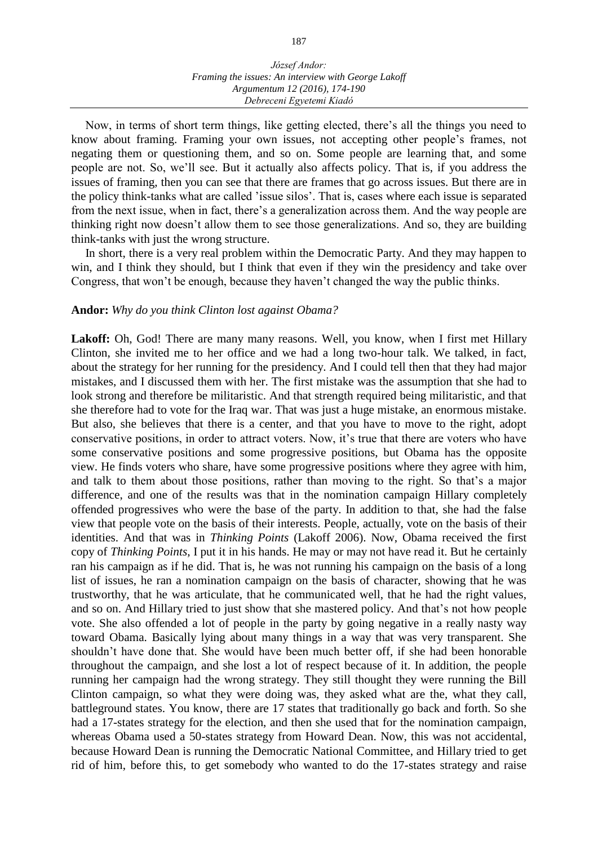Now, in terms of short term things, like getting elected, there's all the things you need to know about framing. Framing your own issues, not accepting other people's frames, not negating them or questioning them, and so on. Some people are learning that, and some people are not. So, we'll see. But it actually also affects policy. That is, if you address the issues of framing, then you can see that there are frames that go across issues. But there are in the policy think-tanks what are called 'issue silos'. That is, cases where each issue is separated from the next issue, when in fact, there's a generalization across them. And the way people are thinking right now doesn't allow them to see those generalizations. And so, they are building think-tanks with just the wrong structure.

In short, there is a very real problem within the Democratic Party. And they may happen to win, and I think they should, but I think that even if they win the presidency and take over Congress, that won't be enough, because they haven't changed the way the public thinks.

#### **Andor:** *Why do you think Clinton lost against Obama?*

Lakoff: Oh, God! There are many many reasons. Well, you know, when I first met Hillary Clinton, she invited me to her office and we had a long two-hour talk. We talked, in fact, about the strategy for her running for the presidency. And I could tell then that they had major mistakes, and I discussed them with her. The first mistake was the assumption that she had to look strong and therefore be militaristic. And that strength required being militaristic, and that she therefore had to vote for the Iraq war. That was just a huge mistake, an enormous mistake. But also, she believes that there is a center, and that you have to move to the right, adopt conservative positions, in order to attract voters. Now, it's true that there are voters who have some conservative positions and some progressive positions, but Obama has the opposite view. He finds voters who share, have some progressive positions where they agree with him, and talk to them about those positions, rather than moving to the right. So that's a major difference, and one of the results was that in the nomination campaign Hillary completely offended progressives who were the base of the party. In addition to that, she had the false view that people vote on the basis of their interests. People, actually, vote on the basis of their identities. And that was in *Thinking Points* (Lakoff 2006). Now, Obama received the first copy of *Thinking Points*, I put it in his hands. He may or may not have read it. But he certainly ran his campaign as if he did. That is, he was not running his campaign on the basis of a long list of issues, he ran a nomination campaign on the basis of character, showing that he was trustworthy, that he was articulate, that he communicated well, that he had the right values, and so on. And Hillary tried to just show that she mastered policy. And that's not how people vote. She also offended a lot of people in the party by going negative in a really nasty way toward Obama. Basically lying about many things in a way that was very transparent. She shouldn't have done that. She would have been much better off, if she had been honorable throughout the campaign, and she lost a lot of respect because of it. In addition, the people running her campaign had the wrong strategy. They still thought they were running the Bill Clinton campaign, so what they were doing was, they asked what are the, what they call, battleground states. You know, there are 17 states that traditionally go back and forth. So she had a 17-states strategy for the election, and then she used that for the nomination campaign, whereas Obama used a 50-states strategy from Howard Dean. Now, this was not accidental, because Howard Dean is running the Democratic National Committee, and Hillary tried to get rid of him, before this, to get somebody who wanted to do the 17-states strategy and raise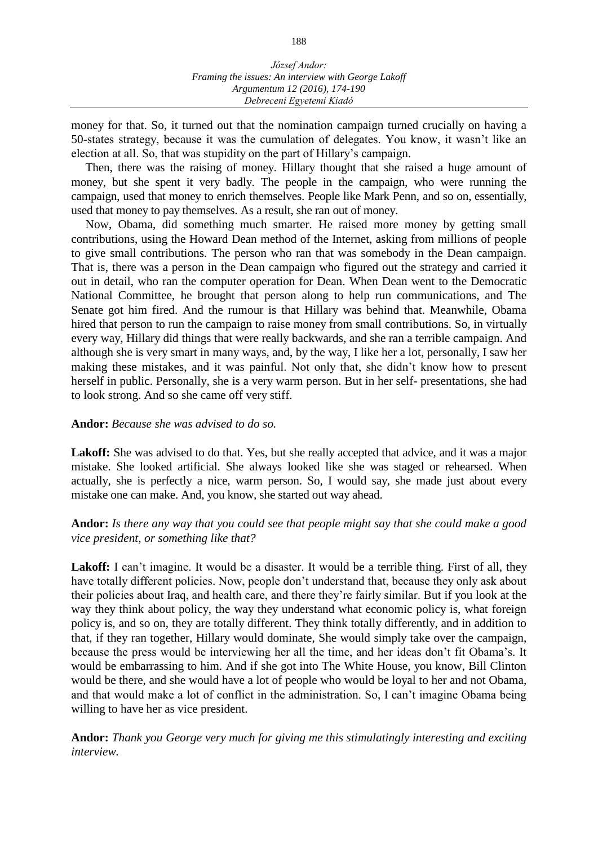money for that. So, it turned out that the nomination campaign turned crucially on having a 50-states strategy, because it was the cumulation of delegates. You know, it wasn't like an election at all. So, that was stupidity on the part of Hillary's campaign.

Then, there was the raising of money. Hillary thought that she raised a huge amount of money, but she spent it very badly. The people in the campaign, who were running the campaign, used that money to enrich themselves. People like Mark Penn, and so on, essentially, used that money to pay themselves. As a result, she ran out of money.

Now, Obama, did something much smarter. He raised more money by getting small contributions, using the Howard Dean method of the Internet, asking from millions of people to give small contributions. The person who ran that was somebody in the Dean campaign. That is, there was a person in the Dean campaign who figured out the strategy and carried it out in detail, who ran the computer operation for Dean. When Dean went to the Democratic National Committee, he brought that person along to help run communications, and The Senate got him fired. And the rumour is that Hillary was behind that. Meanwhile, Obama hired that person to run the campaign to raise money from small contributions. So, in virtually every way, Hillary did things that were really backwards, and she ran a terrible campaign. And although she is very smart in many ways, and, by the way, I like her a lot, personally, I saw her making these mistakes, and it was painful. Not only that, she didn't know how to present herself in public. Personally, she is a very warm person. But in her self- presentations, she had to look strong. And so she came off very stiff.

## **Andor:** *Because she was advised to do so.*

Lakoff: She was advised to do that. Yes, but she really accepted that advice, and it was a major mistake. She looked artificial. She always looked like she was staged or rehearsed. When actually, she is perfectly a nice, warm person. So, I would say, she made just about every mistake one can make. And, you know, she started out way ahead.

## **Andor:** *Is there any way that you could see that people might say that she could make a good vice president, or something like that?*

Lakoff: I can't imagine. It would be a disaster. It would be a terrible thing. First of all, they have totally different policies. Now, people don't understand that, because they only ask about their policies about Iraq, and health care, and there they're fairly similar. But if you look at the way they think about policy, the way they understand what economic policy is, what foreign policy is, and so on, they are totally different. They think totally differently, and in addition to that, if they ran together, Hillary would dominate, She would simply take over the campaign, because the press would be interviewing her all the time, and her ideas don't fit Obama's. It would be embarrassing to him. And if she got into The White House, you know, Bill Clinton would be there, and she would have a lot of people who would be loyal to her and not Obama, and that would make a lot of conflict in the administration. So, I can't imagine Obama being willing to have her as vice president.

**Andor:** *Thank you George very much for giving me this stimulatingly interesting and exciting interview.*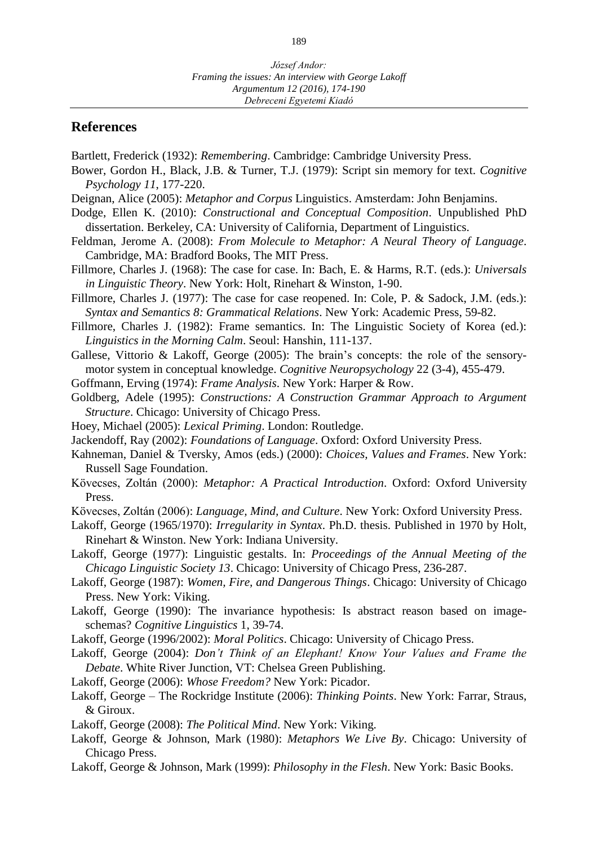## **References**

Bartlett, Frederick (1932): *Remembering*. Cambridge: Cambridge University Press.

- Bower, Gordon H., Black, J.B. & Turner, T.J. (1979): Script sin memory for text. *Cognitive Psychology 11*, 177-220.
- Deignan, Alice (2005): *Metaphor and Corpus* Linguistics. Amsterdam: John Benjamins.
- Dodge, Ellen K. (2010): *Constructional and Conceptual Composition*. Unpublished PhD dissertation. Berkeley, CA: University of California, Department of Linguistics.
- Feldman, Jerome A. (2008): *From Molecule to Metaphor: A Neural Theory of Language*. Cambridge, MA: Bradford Books, The MIT Press.
- Fillmore, Charles J. (1968): The case for case. In: Bach, E. & Harms, R.T. (eds.): *Universals in Linguistic Theory*. New York: Holt, Rinehart & Winston, 1-90.
- Fillmore, Charles J. (1977): The case for case reopened. In: Cole, P. & Sadock, J.M. (eds.): *Syntax and Semantics 8: Grammatical Relations*. New York: Academic Press, 59-82.
- Fillmore, Charles J. (1982): Frame semantics. In: The Linguistic Society of Korea (ed.): *Linguistics in the Morning Calm*. Seoul: Hanshin, 111-137.
- Gallese, Vittorio & Lakoff, George (2005): The brain's concepts: the role of the sensorymotor system in conceptual knowledge. *Cognitive Neuropsychology* 22 (3-4), 455-479.
- Goffmann, Erving (1974): *Frame Analysis*. New York: Harper & Row.
- Goldberg, Adele (1995): *Constructions: A Construction Grammar Approach to Argument Structure*. Chicago: University of Chicago Press.
- Hoey, Michael (2005): *Lexical Priming*. London: Routledge.
- Jackendoff, Ray (2002): *Foundations of Language*. Oxford: Oxford University Press.
- Kahneman, Daniel & Tversky, Amos (eds.) (2000): *Choices, Values and Frames*. New York: Russell Sage Foundation.
- Kövecses, Zoltán (2000): *Metaphor: A Practical Introduction*. Oxford: Oxford University Press.
- Kövecses, Zoltán (2006): *Language, Mind, and Culture*. New York: Oxford University Press.
- Lakoff, George (1965/1970): *Irregularity in Syntax*. Ph.D. thesis. Published in 1970 by Holt, Rinehart & Winston. New York: Indiana University.
- Lakoff, George (1977): Linguistic gestalts. In: *Proceedings of the Annual Meeting of the Chicago Linguistic Society 13*. Chicago: University of Chicago Press, 236-287.
- Lakoff, George (1987): *Women, Fire, and Dangerous Things*. Chicago: University of Chicago Press. New York: Viking.
- Lakoff, George (1990): The invariance hypothesis: Is abstract reason based on imageschemas? *Cognitive Linguistics* 1, 39-74.
- Lakoff, George (1996/2002): *Moral Politics*. Chicago: University of Chicago Press.
- Lakoff, George (2004): *Don't Think of an Elephant! Know Your Values and Frame the Debate*. White River Junction, VT: Chelsea Green Publishing.
- Lakoff, George (2006): *Whose Freedom?* New York: Picador.
- Lakoff, George The Rockridge Institute (2006): *Thinking Points*. New York: Farrar, Straus, & Giroux.
- Lakoff, George (2008): *The Political Mind*. New York: Viking.
- Lakoff, George & Johnson, Mark (1980): *Metaphors We Live By*. Chicago: University of Chicago Press.
- Lakoff, George & Johnson, Mark (1999): *Philosophy in the Flesh*. New York: Basic Books.